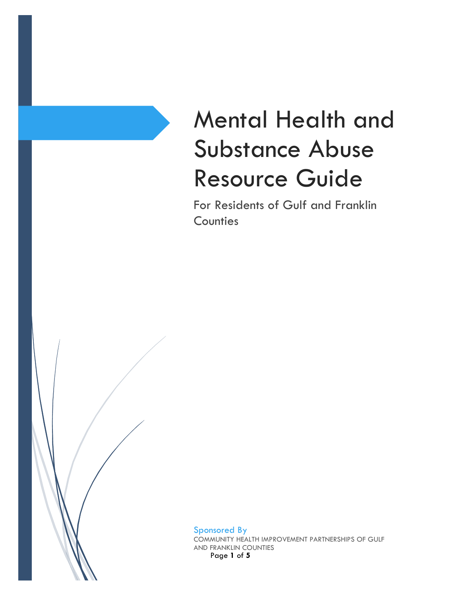# Mental Health and Substance Abuse Resource Guide

For Residents of Gulf and Franklin **Counties** 

Page **1** of **5** Sponsored By COMMUNITY HEALTH IMPROVEMENT PARTNERSHIPS OF GULF AND FRANKLIN COUNTIES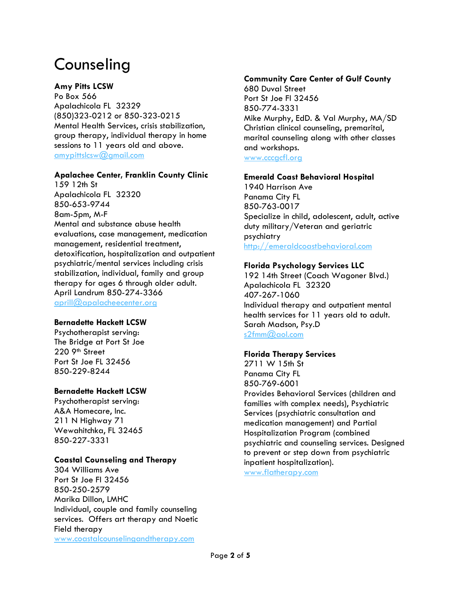# Counseling

# **Amy Pitts LCSW**

Po Box 566 Apalachicola FL 32329 (850)323-0212 or 850-323-0215 Mental Health Services, crisis stabilization, group therapy, individual therapy in home sessions to 11 years old and above. [amypittslcsw@gmail.com](mailto:amypittslcsw@gmail.com)

# **Apalachee Center, Franklin County Clinic**

159 12th St Apalachicola FL 32320 850-653-9744 8am-5pm, M-F Mental and substance abuse health evaluations, case management, medication management, residential treatment, detoxification, hospitalization and outpatient psychiatric/mental services including crisis stabilization, individual, family and group therapy for ages 6 through older adult. April Landrum 850-274-3366 [aprill@apalacheecenter.org](mailto:aprill@apalacheecenter.org)

# **Bernadette Hackett LCSW**

Psychotherapist serving: The Bridge at Port St Joe 220 9th Street Port St Joe FL 32456 850-229-8244

# **Bernadette Hackett LCSW**

Psychotherapist serving: A&A Homecare, Inc. 211 N Highway 71 Wewahitchka, FL 32465 850-227-3331

# **Coastal Counseling and Therapy**

304 Williams Ave Port St Joe Fl 32456 850-250-2579 Marika Dillon, LMHC Individual, couple and family counseling services. Offers art therapy and Noetic Field therapy [www.coastalcounselingandtherapy.com](http://www.coastalcounselingandtherapy.com/)

# **Community Care Center of Gulf County**

680 Duval Street Port St Joe Fl 32456 850-774-3331 Mike Murphy, EdD. & Val Murphy, MA/SD Christian clinical counseling, premarital, marital counseling along with other classes and workshops. [www.cccgcfl.org](http://www.cccgcfl.org/)

### **Emerald Coast Behavioral Hospital**

1940 Harrison Ave Panama City FL 850-763-0017 Specialize in child, adolescent, adult, active duty military/Veteran and geriatric psychiatry [http://emeraldcoastbehavioral.com](http://emeraldcoastbehavioral.com/)

# **Florida Psychology Services LLC**

192 14th Street (Coach Wagoner Blvd.) Apalachicola FL 32320 407-267-1060 Individual therapy and outpatient mental health services for 11 years old to adult. Sarah Madson, Psy.D [s2fmm@aol.com](mailto:s2fmm@aol.com)

# **Florida Therapy Services**

2711 W 15th St Panama City FL 850-769-6001 Provides Behavioral Services (children and families with complex needs), Psychiatric Services (psychiatric consultation and medication management) and Partial Hospitalization Program (combined psychiatric and counseling services. Designed to prevent or step down from psychiatric inpatient hospitalization).

[www.flatherapy.com](http://www.flatherapy.com/)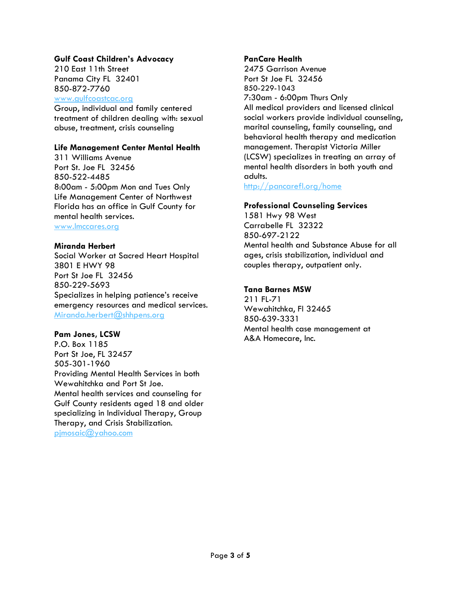# **Gulf Coast Children's Advocacy**

210 East 11th Street Panama City FL 32401 850-872-7760

[www.gulfcoastcac.org](http://www.gulfcoastcac.org/)

Group, individual and family centered treatment of children dealing with: sexual abuse, treatment, crisis counseling

### **Life Management Center Mental Health**

311 Williams Avenue Port St. Joe FL 32456 850-522-4485 8:00am - 5:00pm Mon and Tues Only Life Management Center of Northwest Florida has an office in Gulf County for mental health services.

[www.lmccares.org](http://www.lmccares.org/)

#### **Miranda Herbert**

Social Worker at Sacred Heart Hospital 3801 E HWY 98 Port St Joe FL 32456 850-229-5693 Specializes in helping patience's receive emergency resources and medical services. [Miranda.herbert@shhpens.org](mailto:Miranda.herbert@shhpens.org) 

#### **Pam Jones, LCSW**

P.O. Box 1185 Port St Joe, FL 32457 505-301-1960 Providing Mental Health Services in both Wewahitchka and Port St Joe. Mental health services and counseling for Gulf County residents aged 18 and older specializing in Individual Therapy, Group Therapy, and Crisis Stabilization. [pjmosaic@yahoo.com](mailto:pjmosaic@yahoo.com)

### **PanCare Health**

2475 Garrison Avenue Port St Joe FL 32456 850-229-1043 7:30am - 6:00pm Thurs Only All medical providers and licensed clinical social workers provide individual counseling, marital counseling, family counseling, and behavioral health therapy and medication management. Therapist Victoria Miller (LCSW) specializes in treating an array of mental health disorders in both youth and adults.

<http://pancarefl.org/home>

### **Professional Counseling Services**

1581 Hwy 98 West Carrabelle FL 32322 850-697-2122 Mental health and Substance Abuse for all ages, crisis stabilization, individual and couples therapy, outpatient only.

# **Tana Barnes MSW**

211 FL-71 Wewahitchka, Fl 32465 850-639-3331 Mental health case management at A&A Homecare, Inc.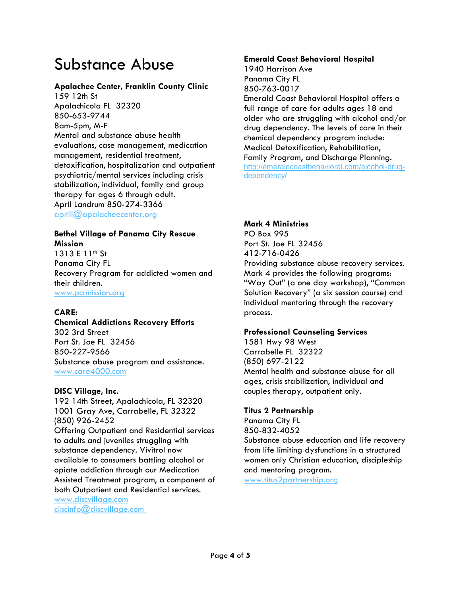# Substance Abuse

# **Apalachee Center, Franklin County Clinic**

159 12th St Apalachicola FL 32320 850-653-9744 8am-5pm, M-F Mental and substance abuse health evaluations, case management, medication management, residential treatment, detoxification, hospitalization and outpatient psychiatric/mental services including crisis stabilization, individual, family and group therapy for ages 6 through adult. April Landrum 850-274-3366 [aprill@apalacheecenter.org](mailto:aprill@apalacheecenter.org)

#### **Bethel Village of Panama City Rescue Mission**

1313 E 11<sup>th</sup> St Panama City FL Recovery Program for addicted women and their children. [www.pcrmission.org](http://www.pcrmission.org/) 

# **CARE:**

# **Chemical Addictions Recovery Efforts**

302 3rd Street Port St. Joe FL 32456 850-227-9566 Substance abuse program and assistance. [www.care4000.com](http://www.care4000.com/)

# **DISC Village, Inc.**

192 14th Street, Apalachicola, FL 32320 1001 Gray Ave, Carrabelle, FL 32322 (850) 926-2452 Offering Outpatient and Residential services to adults and juveniles struggling with substance dependency. Vivitrol now available to consumers battling alcohol or opiate addiction through our Medication Assisted Treatment program, a component of both Outpatient and Residential services.

[www.discvillage.com](http://www.discvillage.com/) [discinfo@discvillage.com](mailto:discinfo@discvillage.com)

### **Emerald Coast Behavioral Hospital**

1940 Harrison Ave Panama City FL 850-763-0017 Emerald Coast Behavioral Hospital offers a full range of care for adults ages 18 and older who are struggling with alcohol and/or drug dependency. The levels of care in their chemical dependency program include: Medical Detoxification, Rehabilitation, Family Program, and Discharge Planning. [http://emeraldcoastbehavioral.com/alcohol-drug](http://emeraldcoastbehavioral.com/alcohol-drug-dependency/)[dependency/](http://emeraldcoastbehavioral.com/alcohol-drug-dependency/)

# **Mark 4 Ministries**

PO Box 995 Port St. Joe FL 32456 412-716-0426 Providing substance abuse recovery services. Mark 4 provides the following programs: "Way Out" (a one day workshop), "Common Solution Recovery" (a six session course) and individual mentoring through the recovery process.

# **Professional Counseling Services**

1581 Hwy 98 West Carrabelle FL 32322 (850) 697-2122 Mental health and substance abuse for all ages, crisis stabilization, individual and couples therapy, outpatient only.

# **Titus 2 Partnership**

Panama City FL 850-832-4052 Substance abuse education and life recovery from life limiting dysfunctions in a structured women only Christian education, discipleship and mentoring program. [www.titus2partnership.org](http://www.titus2partnership.org/)